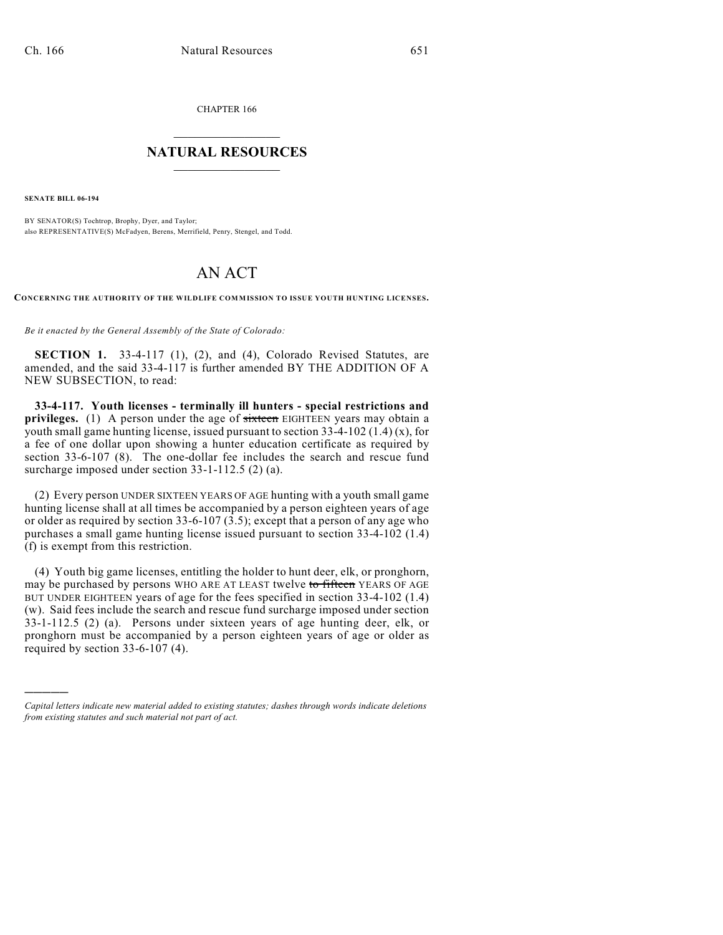CHAPTER 166

## $\mathcal{L}_\text{max}$  . The set of the set of the set of the set of the set of the set of the set of the set of the set of the set of the set of the set of the set of the set of the set of the set of the set of the set of the set **NATURAL RESOURCES**  $\frac{1}{\sqrt{2}}$  , where  $\frac{1}{\sqrt{2}}$  ,  $\frac{1}{\sqrt{2}}$  ,  $\frac{1}{\sqrt{2}}$

**SENATE BILL 06-194**

)))))

BY SENATOR(S) Tochtrop, Brophy, Dyer, and Taylor; also REPRESENTATIVE(S) McFadyen, Berens, Merrifield, Penry, Stengel, and Todd.

## AN ACT

**CONCERNING THE AUTHORITY OF THE WILDLIFE COMMISSION TO ISSUE YOUTH HUNTING LICENSES.**

*Be it enacted by the General Assembly of the State of Colorado:*

**SECTION 1.** 33-4-117 (1), (2), and (4), Colorado Revised Statutes, are amended, and the said 33-4-117 is further amended BY THE ADDITION OF A NEW SUBSECTION, to read:

**33-4-117. Youth licenses - terminally ill hunters - special restrictions and privileges.** (1) A person under the age of sixteen EIGHTEEN years may obtain a youth small game hunting license, issued pursuant to section 33-4-102 (1.4) (x), for a fee of one dollar upon showing a hunter education certificate as required by section 33-6-107 (8). The one-dollar fee includes the search and rescue fund surcharge imposed under section 33-1-112.5 (2) (a).

(2) Every person UNDER SIXTEEN YEARS OF AGE hunting with a youth small game hunting license shall at all times be accompanied by a person eighteen years of age or older as required by section 33-6-107 (3.5); except that a person of any age who purchases a small game hunting license issued pursuant to section 33-4-102 (1.4) (f) is exempt from this restriction.

(4) Youth big game licenses, entitling the holder to hunt deer, elk, or pronghorn, may be purchased by persons WHO ARE AT LEAST twelve to fifteen YEARS OF AGE BUT UNDER EIGHTEEN years of age for the fees specified in section 33-4-102 (1.4) (w). Said fees include the search and rescue fund surcharge imposed under section 33-1-112.5 (2) (a). Persons under sixteen years of age hunting deer, elk, or pronghorn must be accompanied by a person eighteen years of age or older as required by section 33-6-107 (4).

*Capital letters indicate new material added to existing statutes; dashes through words indicate deletions from existing statutes and such material not part of act.*